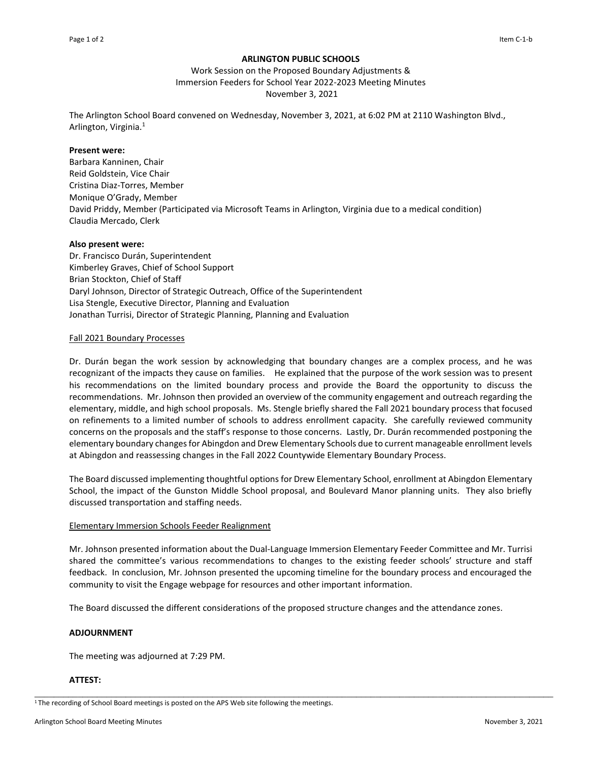# **ARLINGTON PUBLIC SCHOOLS**

Work Session on the Proposed Boundary Adjustments & Immersion Feeders for School Year 2022-2023 Meeting Minutes November 3, 2021

The Arlington School Board convened on Wednesday, November 3, 2021, at 6:02 PM at 2110 Washington Blvd., Arlington, Virginia.<sup>1</sup>

### **Present were:**

Barbara Kanninen, Chair Reid Goldstein, Vice Chair Cristina Diaz-Torres, Member Monique O'Grady, Member David Priddy, Member (Participated via Microsoft Teams in Arlington, Virginia due to a medical condition) Claudia Mercado, Clerk

### **Also present were:**

Dr. Francisco Durán, Superintendent Kimberley Graves, Chief of School Support Brian Stockton, Chief of Staff Daryl Johnson, Director of Strategic Outreach, Office of the Superintendent Lisa Stengle, Executive Director, Planning and Evaluation Jonathan Turrisi, Director of Strategic Planning, Planning and Evaluation

### Fall 2021 Boundary Processes

Dr. Durán began the work session by acknowledging that boundary changes are a complex process, and he was recognizant of the impacts they cause on families. He explained that the purpose of the work session was to present his recommendations on the limited boundary process and provide the Board the opportunity to discuss the recommendations. Mr. Johnson then provided an overview of the community engagement and outreach regarding the elementary, middle, and high school proposals. Ms. Stengle briefly shared the Fall 2021 boundary process that focused on refinements to a limited number of schools to address enrollment capacity. She carefully reviewed community concerns on the proposals and the staff's response to those concerns. Lastly, Dr. Durán recommended postponing the elementary boundary changes for Abingdon and Drew Elementary Schools due to current manageable enrollment levels at Abingdon and reassessing changes in the Fall 2022 Countywide Elementary Boundary Process.

The Board discussed implementing thoughtful options for Drew Elementary School, enrollment at Abingdon Elementary School, the impact of the Gunston Middle School proposal, and Boulevard Manor planning units. They also briefly discussed transportation and staffing needs.

# Elementary Immersion Schools Feeder Realignment

Mr. Johnson presented information about the Dual-Language Immersion Elementary Feeder Committee and Mr. Turrisi shared the committee's various recommendations to changes to the existing feeder schools' structure and staff feedback. In conclusion, Mr. Johnson presented the upcoming timeline for the boundary process and encouraged the community to visit the Engage webpage for resources and other important information.

The Board discussed the different considerations of the proposed structure changes and the attendance zones.

\_\_\_\_\_\_\_\_\_\_\_\_\_\_\_\_\_\_\_\_\_\_\_\_\_\_\_\_\_\_\_\_\_\_\_\_\_\_\_\_\_\_\_\_\_\_\_\_\_\_\_\_\_\_\_\_\_\_\_\_\_\_\_\_\_\_\_\_\_\_\_\_\_\_\_\_\_\_\_\_\_\_\_\_\_\_\_\_\_\_\_\_\_\_\_\_\_\_\_\_\_\_\_\_\_\_\_\_

# **ADJOURNMENT**

The meeting was adjourned at 7:29 PM.

# **ATTEST:**

<sup>&</sup>lt;sup>1</sup>The recording of School Board meetings is posted on the APS Web site following the meetings.